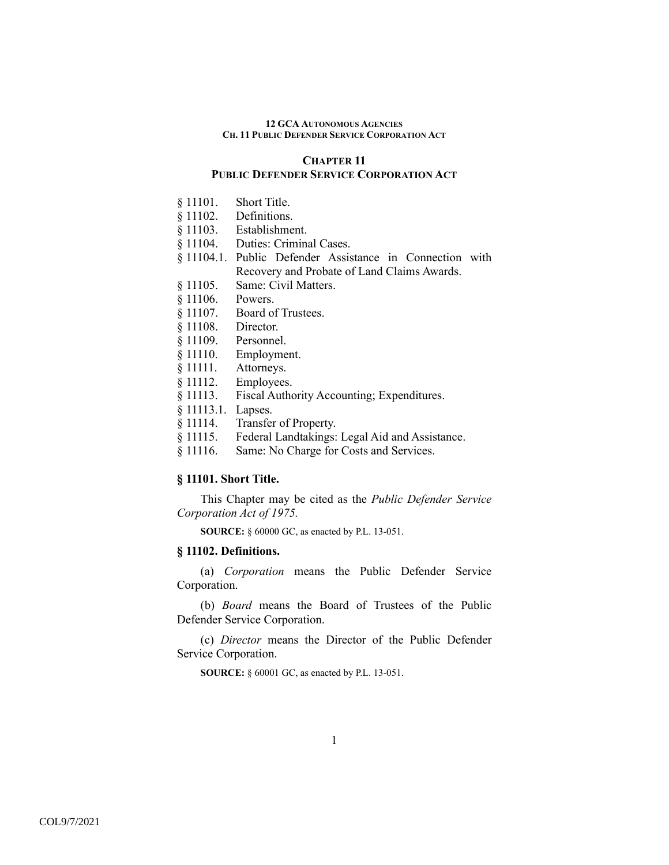# **CHAPTER 11 PUBLIC DEFENDER SERVICE CORPORATION ACT**

- § 11101. Short Title.
- § 11102. Definitions.
- § 11103. Establishment.
- § 11104. Duties: Criminal Cases.
- § 11104.1. Public Defender Assistance in Connection with Recovery and Probate of Land Claims Awards.
- § 11105. Same: Civil Matters.
- § 11106. Powers.
- § 11107. Board of Trustees.
- § 11108. Director.
- § 11109. Personnel.
- § 11110. Employment.
- § 11111. Attorneys.
- § 11112. Employees.
- § 11113. Fiscal Authority Accounting; Expenditures.
- § 11113.1. Lapses.
- § 11114. Transfer of Property.
- § 11115. Federal Landtakings: Legal Aid and Assistance.
- § 11116. Same: No Charge for Costs and Services.

### **§ 11101. Short Title.**

This Chapter may be cited as the *Public Defender Service Corporation Act of 1975.*

**SOURCE:** § 60000 GC, as enacted by P.L. 13-051.

### **§ 11102. Definitions.**

(a) *Corporation* means the Public Defender Service Corporation.

(b) *Board* means the Board of Trustees of the Public Defender Service Corporation.

(c) *Director* means the Director of the Public Defender Service Corporation.

**SOURCE:** § 60001 GC, as enacted by P.L. 13-051.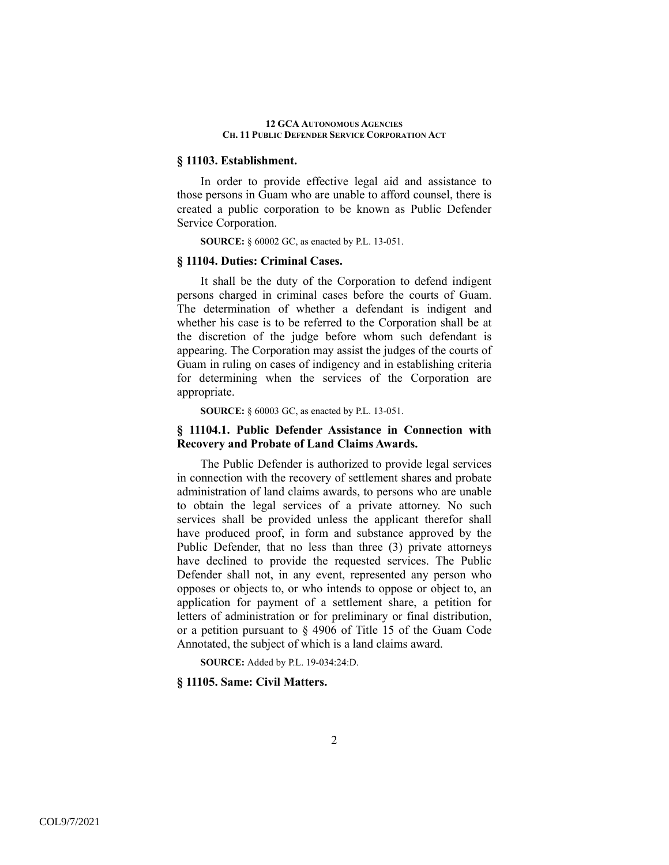## **§ 11103. Establishment.**

 In order to provide effective legal aid and assistance to those persons in Guam who are unable to afford counsel, there is created a public corporation to be known as Public Defender Service Corporation.

**SOURCE:** § 60002 GC, as enacted by P.L. 13-051.

### **§ 11104. Duties: Criminal Cases.**

 It shall be the duty of the Corporation to defend indigent persons charged in criminal cases before the courts of Guam. The determination of whether a defendant is indigent and whether his case is to be referred to the Corporation shall be at the discretion of the judge before whom such defendant is appearing. The Corporation may assist the judges of the courts of Guam in ruling on cases of indigency and in establishing criteria for determining when the services of the Corporation are appropriate.

**SOURCE:** § 60003 GC, as enacted by P.L. 13-051.

## **§ 11104.1. Public Defender Assistance in Connection with Recovery and Probate of Land Claims Awards.**

 The Public Defender is authorized to provide legal services in connection with the recovery of settlement shares and probate administration of land claims awards, to persons who are unable to obtain the legal services of a private attorney. No such services shall be provided unless the applicant therefor shall have produced proof, in form and substance approved by the Public Defender, that no less than three (3) private attorneys have declined to provide the requested services. The Public Defender shall not, in any event, represented any person who opposes or objects to, or who intends to oppose or object to, an application for payment of a settlement share, a petition for letters of administration or for preliminary or final distribution, or a petition pursuant to § 4906 of Title 15 of the Guam Code Annotated, the subject of which is a land claims award.

**SOURCE:** Added by P.L. 19-034:24:D.

## **§ 11105. Same: Civil Matters.**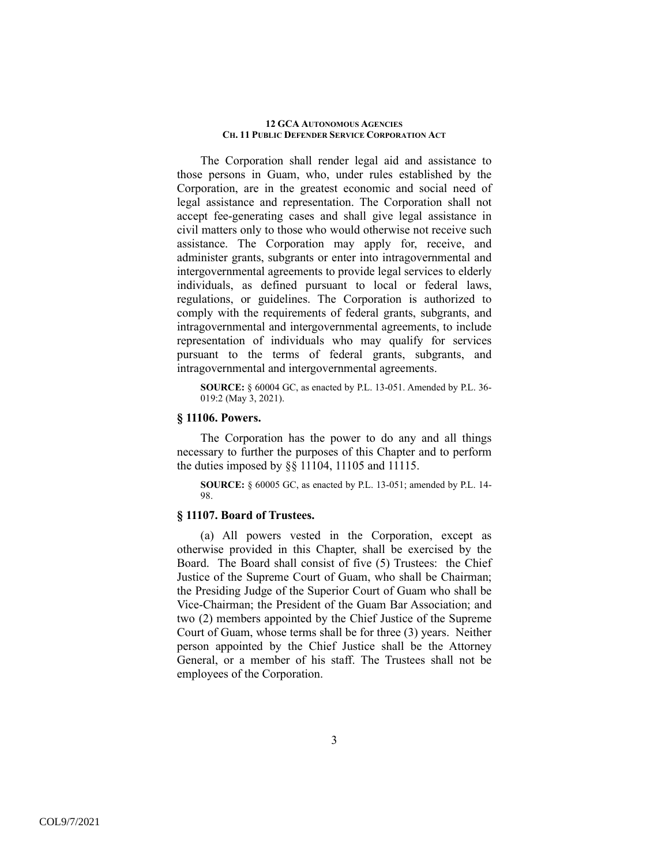The Corporation shall render legal aid and assistance to those persons in Guam, who, under rules established by the Corporation, are in the greatest economic and social need of legal assistance and representation. The Corporation shall not accept fee-generating cases and shall give legal assistance in civil matters only to those who would otherwise not receive such assistance. The Corporation may apply for, receive, and administer grants, subgrants or enter into intragovernmental and intergovernmental agreements to provide legal services to elderly individuals, as defined pursuant to local or federal laws, regulations, or guidelines. The Corporation is authorized to comply with the requirements of federal grants, subgrants, and intragovernmental and intergovernmental agreements, to include representation of individuals who may qualify for services pursuant to the terms of federal grants, subgrants, and intragovernmental and intergovernmental agreements.

**SOURCE:** § 60004 GC, as enacted by P.L. 13-051. Amended by P.L. 36- 019:2 (May 3, 2021).

## **§ 11106. Powers.**

 The Corporation has the power to do any and all things necessary to further the purposes of this Chapter and to perform the duties imposed by §§ 11104, 11105 and 11115.

**SOURCE:** § 60005 GC, as enacted by P.L. 13-051; amended by P.L. 14- 98.

## **§ 11107. Board of Trustees.**

 (a) All powers vested in the Corporation, except as otherwise provided in this Chapter, shall be exercised by the Board. The Board shall consist of five (5) Trustees: the Chief Justice of the Supreme Court of Guam, who shall be Chairman; the Presiding Judge of the Superior Court of Guam who shall be Vice-Chairman; the President of the Guam Bar Association; and two (2) members appointed by the Chief Justice of the Supreme Court of Guam, whose terms shall be for three (3) years. Neither person appointed by the Chief Justice shall be the Attorney General, or a member of his staff. The Trustees shall not be employees of the Corporation.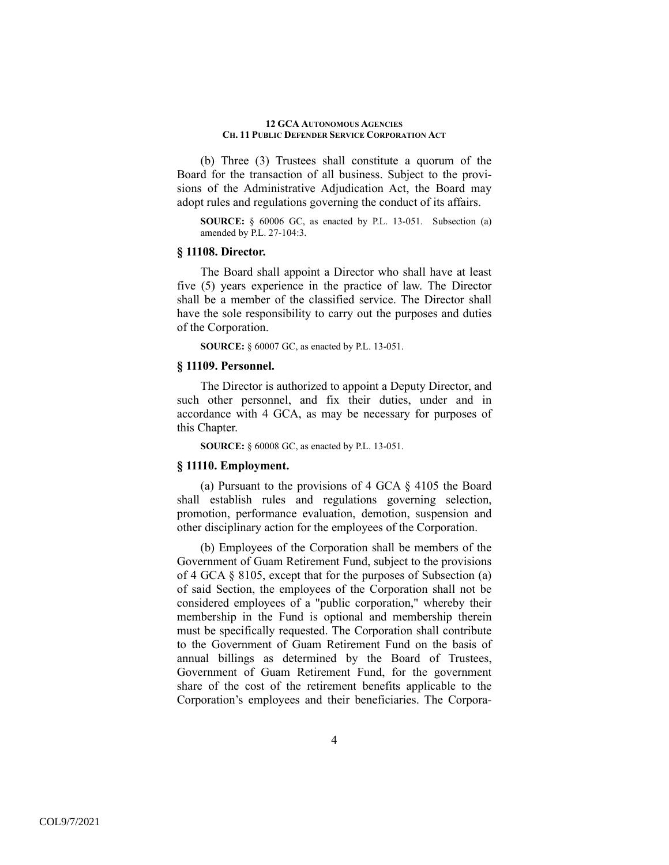(b) Three (3) Trustees shall constitute a quorum of the Board for the transaction of all business. Subject to the provisions of the Administrative Adjudication Act, the Board may adopt rules and regulations governing the conduct of its affairs.

**SOURCE:** § 60006 GC, as enacted by P.L. 13-051. Subsection (a) amended by P.L. 27-104:3.

## **§ 11108. Director.**

 The Board shall appoint a Director who shall have at least five (5) years experience in the practice of law. The Director shall be a member of the classified service. The Director shall have the sole responsibility to carry out the purposes and duties of the Corporation.

**SOURCE:** § 60007 GC, as enacted by P.L. 13-051.

## **§ 11109. Personnel.**

 The Director is authorized to appoint a Deputy Director, and such other personnel, and fix their duties, under and in accordance with 4 GCA, as may be necessary for purposes of this Chapter.

**SOURCE:** § 60008 GC, as enacted by P.L. 13-051.

### **§ 11110. Employment.**

(a) Pursuant to the provisions of 4 GCA § 4105 the Board shall establish rules and regulations governing selection, promotion, performance evaluation, demotion, suspension and other disciplinary action for the employees of the Corporation.

(b) Employees of the Corporation shall be members of the Government of Guam Retirement Fund, subject to the provisions of 4 GCA § 8105, except that for the purposes of Subsection (a) of said Section, the employees of the Corporation shall not be considered employees of a "public corporation," whereby their membership in the Fund is optional and membership therein must be specifically requested. The Corporation shall contribute to the Government of Guam Retirement Fund on the basis of annual billings as determined by the Board of Trustees, Government of Guam Retirement Fund, for the government share of the cost of the retirement benefits applicable to the Corporation's employees and their beneficiaries. The Corpora-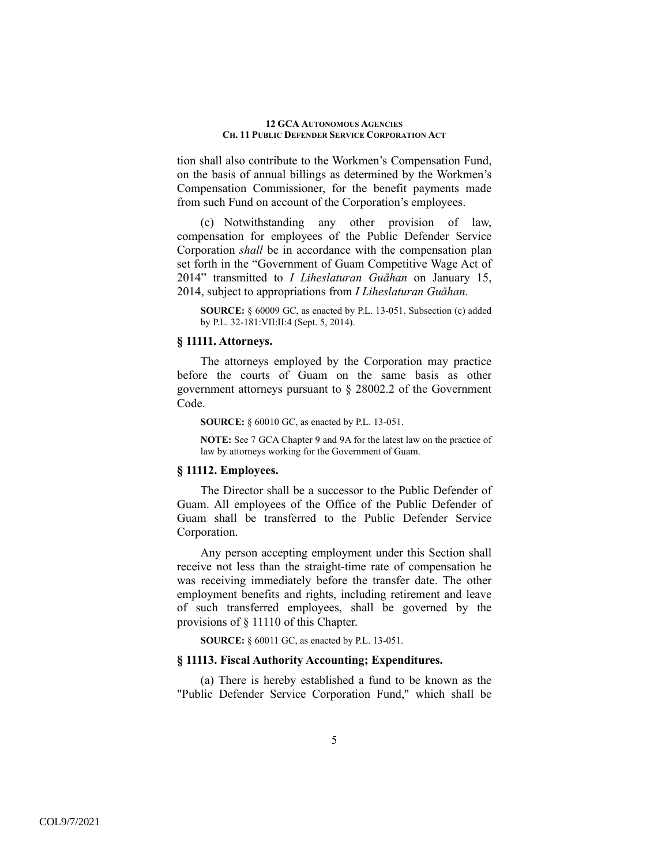tion shall also contribute to the Workmen's Compensation Fund, on the basis of annual billings as determined by the Workmen's Compensation Commissioner, for the benefit payments made from such Fund on account of the Corporation's employees.

(c) Notwithstanding any other provision of law, compensation for employees of the Public Defender Service Corporation *shall* be in accordance with the compensation plan set forth in the "Government of Guam Competitive Wage Act of 2014" transmitted to *I Liheslaturan Guåhan* on January 15, 2014, subject to appropriations from *I Liheslaturan Guåhan.*

**SOURCE:** § 60009 GC, as enacted by P.L. 13-051. Subsection (c) added by P.L. 32-181:VII:II:4 (Sept. 5, 2014).

# **§ 11111. Attorneys.**

 The attorneys employed by the Corporation may practice before the courts of Guam on the same basis as other government attorneys pursuant to § 28002.2 of the Government Code.

**SOURCE:** § 60010 GC, as enacted by P.L. 13-051.

**NOTE:** See 7 GCA Chapter 9 and 9A for the latest law on the practice of law by attorneys working for the Government of Guam.

# **§ 11112. Employees.**

 The Director shall be a successor to the Public Defender of Guam. All employees of the Office of the Public Defender of Guam shall be transferred to the Public Defender Service Corporation.

Any person accepting employment under this Section shall receive not less than the straight-time rate of compensation he was receiving immediately before the transfer date. The other employment benefits and rights, including retirement and leave of such transferred employees, shall be governed by the provisions of § 11110 of this Chapter.

**SOURCE:** § 60011 GC, as enacted by P.L. 13-051.

## **§ 11113. Fiscal Authority Accounting; Expenditures.**

 (a) There is hereby established a fund to be known as the "Public Defender Service Corporation Fund," which shall be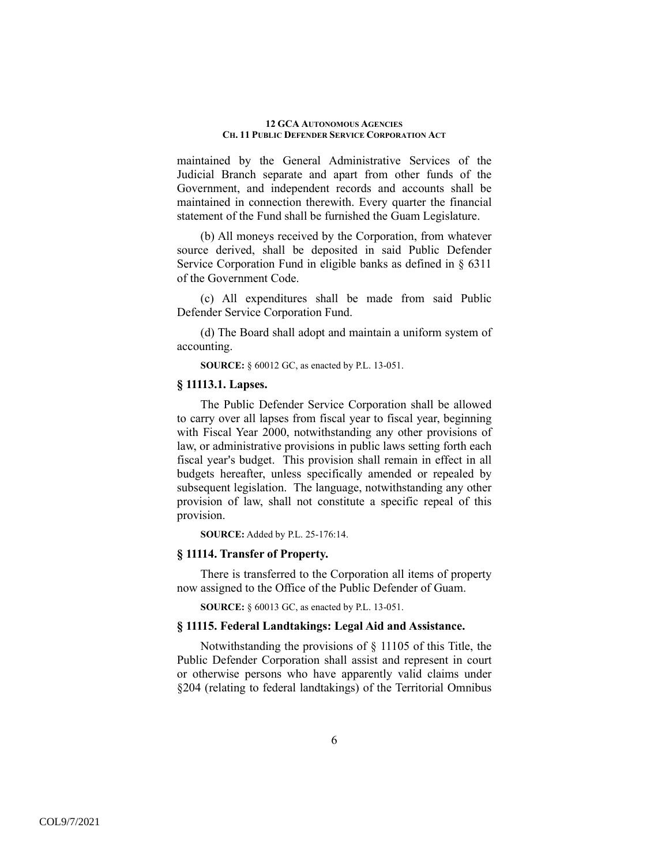maintained by the General Administrative Services of the Judicial Branch separate and apart from other funds of the Government, and independent records and accounts shall be maintained in connection therewith. Every quarter the financial statement of the Fund shall be furnished the Guam Legislature.

(b) All moneys received by the Corporation, from whatever source derived, shall be deposited in said Public Defender Service Corporation Fund in eligible banks as defined in § 6311 of the Government Code.

(c) All expenditures shall be made from said Public Defender Service Corporation Fund.

(d) The Board shall adopt and maintain a uniform system of accounting.

**SOURCE:** § 60012 GC, as enacted by P.L. 13-051.

# **§ 11113.1. Lapses.**

 The Public Defender Service Corporation shall be allowed to carry over all lapses from fiscal year to fiscal year, beginning with Fiscal Year 2000, notwithstanding any other provisions of law, or administrative provisions in public laws setting forth each fiscal year's budget. This provision shall remain in effect in all budgets hereafter, unless specifically amended or repealed by subsequent legislation. The language, notwithstanding any other provision of law, shall not constitute a specific repeal of this provision.

**SOURCE:** Added by P.L. 25-176:14.

## **§ 11114. Transfer of Property.**

 There is transferred to the Corporation all items of property now assigned to the Office of the Public Defender of Guam.

**SOURCE:** § 60013 GC, as enacted by P.L. 13-051.

## **§ 11115. Federal Landtakings: Legal Aid and Assistance.**

 Notwithstanding the provisions of § 11105 of this Title, the Public Defender Corporation shall assist and represent in court or otherwise persons who have apparently valid claims under §204 (relating to federal landtakings) of the Territorial Omnibus